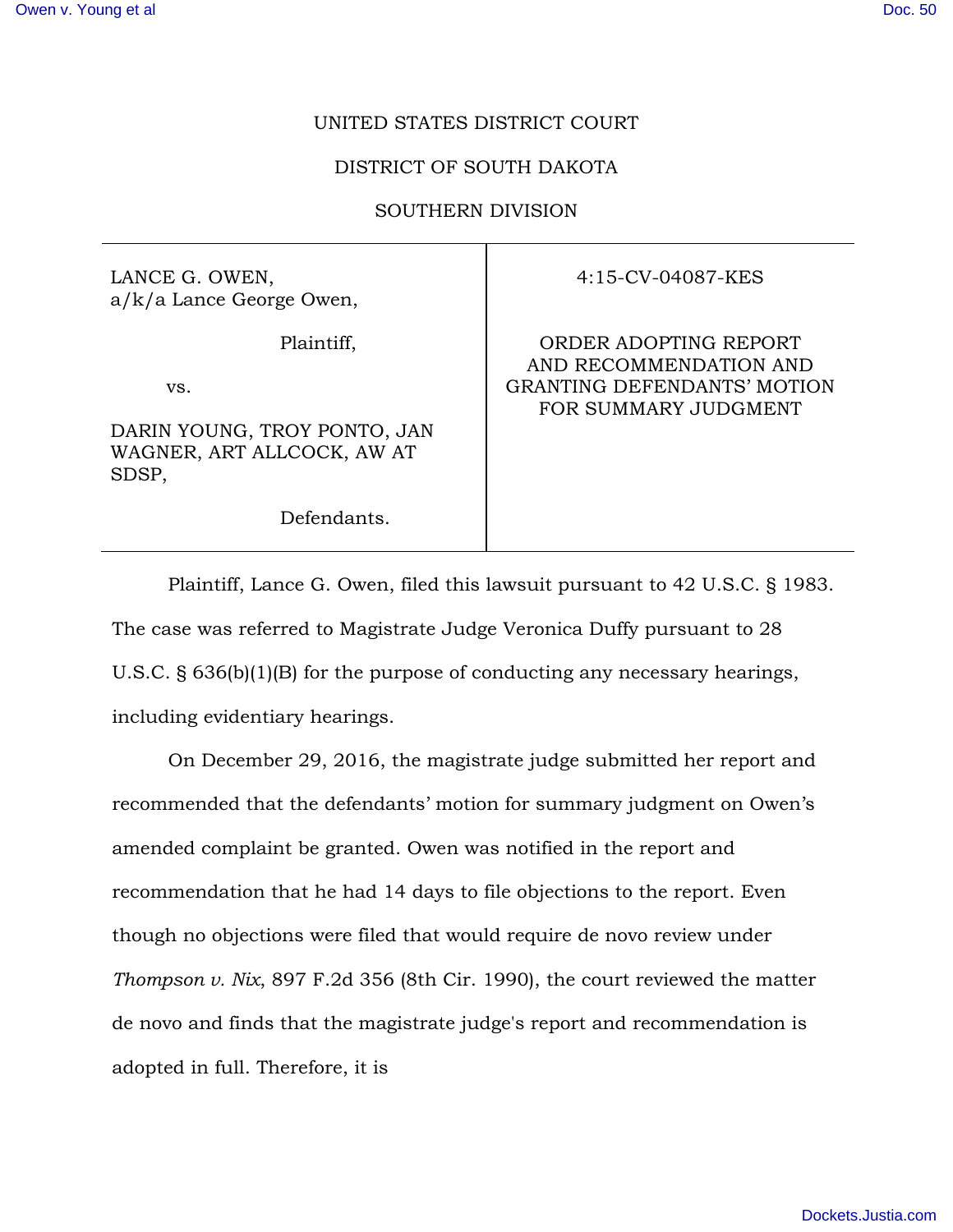## UNITED STATES DISTRICT COURT

## DISTRICT OF SOUTH DAKOTA

## SOUTHERN DIVISION

LANCE G. OWEN, a/k/a Lance George Owen,

Plaintiff,

vs.

DARIN YOUNG, TROY PONTO, JAN WAGNER, ART ALLCOCK, AW AT SDSP,

Defendants.

4:15-CV-04087-KES

ORDER ADOPTING REPORT AND RECOMMENDATION AND GRANTING DEFENDANTS' MOTION FOR SUMMARY JUDGMENT

Plaintiff, Lance G. Owen, filed this lawsuit pursuant to 42 U.S.C. § 1983. The case was referred to Magistrate Judge Veronica Duffy pursuant to 28 U.S.C. § 636(b)(1)(B) for the purpose of conducting any necessary hearings, including evidentiary hearings.

On December 29, 2016, the magistrate judge submitted her report and recommended that the defendants' motion for summary judgment on Owen's amended complaint be granted. Owen was notified in the report and recommendation that he had 14 days to file objections to the report. Even though no objections were filed that would require de novo review under *Thompson v. Nix*, 897 F.2d 356 (8th Cir. 1990), the court reviewed the matter de novo and finds that the magistrate judge's report and recommendation is adopted in full. Therefore, it is